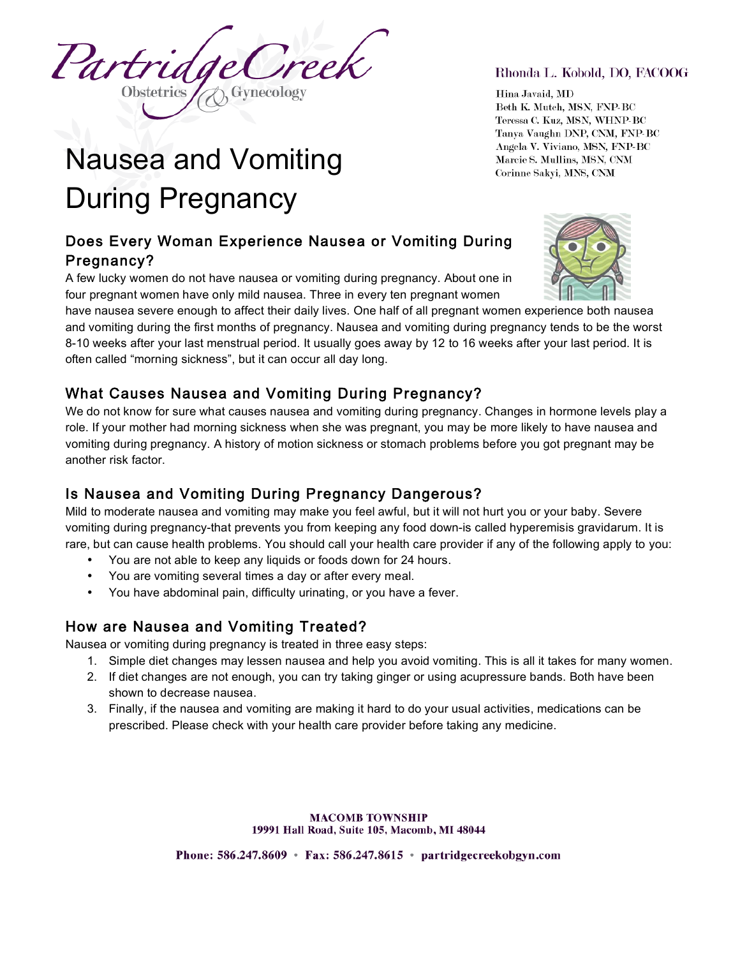Partrie reel

# Nausea and Vomiting During Pregnancy

# Does Every Woman Experience Nausea or Vomiting During Pregnancy?

A few lucky women do not have nausea or vomiting during pregnancy. About one in four pregnant women have only mild nausea. Three in every ten pregnant women

have nausea severe enough to affect their daily lives. One half of all pregnant women experience both nausea and vomiting during the first months of pregnancy. Nausea and vomiting during pregnancy tends to be the worst 8-10 weeks after your last menstrual period. It usually goes away by 12 to 16 weeks after your last period. It is often called "morning sickness", but it can occur all day long.

## What Causes Nausea and Vomiting During Pregnancy?

We do not know for sure what causes nausea and vomiting during pregnancy. Changes in hormone levels play a role. If your mother had morning sickness when she was pregnant, you may be more likely to have nausea and vomiting during pregnancy. A history of motion sickness or stomach problems before you got pregnant may be another risk factor.

# Is Nausea and Vomiting During Pregnancy Dangerous?

Mild to moderate nausea and vomiting may make you feel awful, but it will not hurt you or your baby. Severe vomiting during pregnancy-that prevents you from keeping any food down-is called hyperemisis gravidarum. It is rare, but can cause health problems. You should call your health care provider if any of the following apply to you:

- You are not able to keep any liquids or foods down for 24 hours.
- You are vomiting several times a day or after every meal.
- You have abdominal pain, difficulty urinating, or you have a fever.

## How are Nausea and Vomiting Treated?

Nausea or vomiting during pregnancy is treated in three easy steps:

- 1. Simple diet changes may lessen nausea and help you avoid vomiting. This is all it takes for many women.
- 2. If diet changes are not enough, you can try taking ginger or using acupressure bands. Both have been shown to decrease nausea.
- 3. Finally, if the nausea and vomiting are making it hard to do your usual activities, medications can be prescribed. Please check with your health care provider before taking any medicine.

**MACOMB TOWNSHIP** 19991 Hall Road, Suite 105, Macomb, MI 48044

Phone:  $586.247.8609$  • Fax:  $586.247.8615$  • partridgecreekobgyn.com

#### Rhonda L. Kobold, DO, FACOOG

Hina Javaid, MD Beth K. Mutch, MSN, FNP-BC Teressa C. Kuz, MSN, WHNP-BC Tanya Vaughn DNP, CNM, FNP-BC Angela V. Viviano, MSN, FNP-BC Marcie S. Mullins, MSN, CNM Corinne Sakvi, MNS, CNM